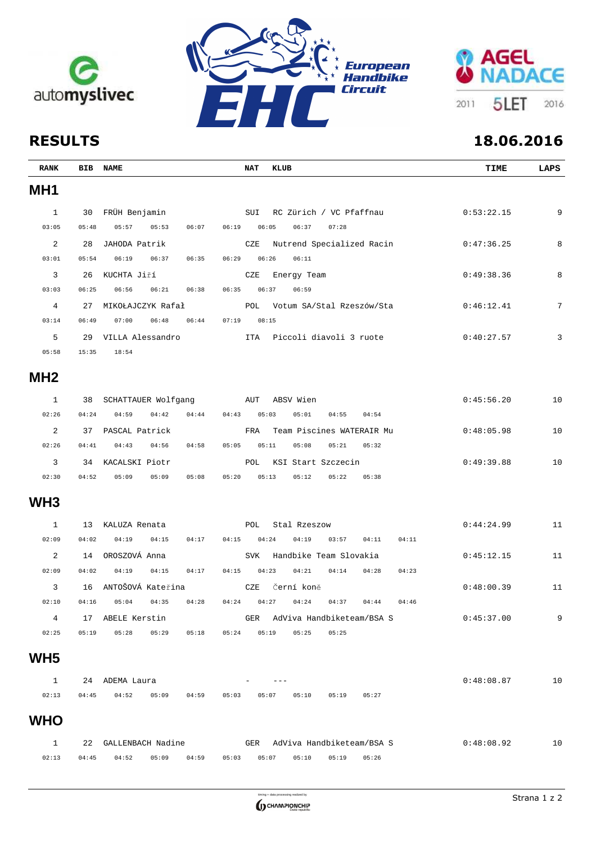





| <b>RANK</b>     |       | BIB NAME                | <b>NAT</b><br>KLUB                                 | TIME       | LAPS |
|-----------------|-------|-------------------------|----------------------------------------------------|------------|------|
| MH <sub>1</sub> |       |                         |                                                    |            |      |
| 1               | 30    | FRÜH Benjamin           | SUI<br>RC Zürich / VC Pfaffnau                     | 0:53:22.15 | 9    |
| 03:05           | 05:48 | 05:57<br>05:53<br>06:07 | 06:19<br>06:37<br>07:28<br>06:05                   |            |      |
| 2               | 28    | JAHODA Patrik           | Nutrend Specialized Racin<br>CZE                   | 0:47:36.25 | 8    |
| 03:01           | 05:54 | 06:19<br>06:37<br>06:35 | 06:29<br>06:26<br>06:11                            |            |      |
| 3               | 26    | KUCHTA Jiří             | CZE<br>Energy Team                                 | 0:49:38.36 | 8    |
| 03:03           | 06:25 | 06:56<br>06:21<br>06:38 | 06:35<br>06:37<br>06:59                            |            |      |
| $\overline{4}$  | 27    | MIKOŁAJCZYK Rafał       | Votum SA/Stal Rzeszów/Sta<br>POL                   | 0:46:12.41 | 7    |
| 03:14           | 06:49 | 07:00<br>06:48<br>06:44 | 07:19<br>08:15                                     |            |      |
| 5               |       |                         | Piccoli diavoli 3 ruote                            | 0:40:27.57 | 3    |
| 05:58           | 15:35 | 18:54                   |                                                    |            |      |
| MH <sub>2</sub> |       |                         |                                                    |            |      |
| $\mathbf{1}$    | 38    | SCHATTAUER Wolfgang AUT | ABSV Wien                                          | 0:45:56.20 | 10   |
| 02:26           | 04:24 | 04:59<br>04:42<br>04:44 | 04:43<br>05:03<br>05:01<br>04:55<br>04:54          |            |      |
| 2               | 37    | PASCAL Patrick          | Team Piscines WATERAIR Mu<br>FRA                   | 0:48:05.98 | 10   |
| 02:26           | 04:41 | 04:43<br>04:56<br>04:58 | 05:05<br>05:11<br>05:08<br>05:21<br>05:32          |            |      |
| $\overline{3}$  |       | 34 KACALSKI Piotr       | KSI Start Szczecin<br>POL                          | 0:49:39.88 | 10   |
| 02:30           | 04:52 | 05:09<br>05:08<br>05:09 | 05:13<br>05:12<br>05:22<br>05:20<br>05:38          |            |      |
| WH <sub>3</sub> |       |                         |                                                    |            |      |
| $\mathbf{1}$    | 13    | KALUZA Renata           | POL<br>Stal Rzeszow                                | 0:44:24.99 | 11   |
| 02:09           | 04:02 | 04:19<br>04:17<br>04:15 | 04:15<br>04:19<br>04:11<br>04:24<br>03:57<br>04:11 |            |      |
| 2               | 14    | OROSZOVÁ Anna           | Handbike Team Slovakia<br><b>SVK</b>               | 0:45:12.15 | 11   |
| 02:09           | 04:02 | 04:19<br>04:15<br>04:17 | 04:15<br>04:23<br>04:21<br>04:14<br>04:28<br>04:23 |            |      |
| 3               | 16    | ANTOŠOVÁ Kateřina       | CZE<br>Černí koně                                  | 0:48:00.39 | 11   |
| 02:10           | 04:16 | 05:04<br>04:35<br>04:28 | 04:24<br>04:27<br>04:24<br>04:37<br>04:44<br>04:46 |            |      |
| 4               | 17    | ABELE Kerstin           | AdViva Handbiketeam/BSA S<br>GER                   | 0:45:37.00 | 9    |
| 02:25           | 05:19 | 05:28<br>05:29<br>05:18 | 05:24<br>05:19<br>05:25<br>05:25                   |            |      |
| WH <sub>5</sub> |       |                         |                                                    |            |      |
| $\mathbf{1}$    |       | 24 ADEMA Laura          |                                                    | 0:48:08.87 | 10   |
| 02:13           | 04:45 | 04:52<br>05:09<br>04:59 | 05:03<br>05:10<br>05:19<br>05:27<br>05:07          |            |      |
| <b>WHO</b>      |       |                         |                                                    |            |      |
| $\mathbf{1}$    | 22    | GALLENBACH Nadine       | AdViva Handbiketeam/BSA S<br>GER                   | 0:48:08.92 | 10   |

02:13 04:45 04:52 05:09 04:59 05:03 05:07 05:10 05:19 05:26